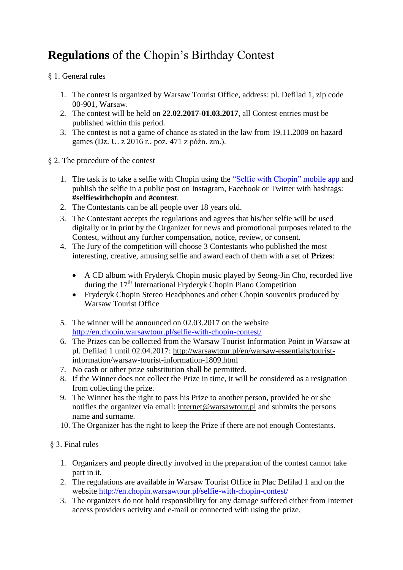## **Regulations** of the Chopin's Birthday Contest

§ 1. General rules

- 1. The contest is organized by Warsaw Tourist Office, address: pl. Defilad 1, zip code 00-901, Warsaw.
- 2. The contest will be held on **22.02.2017-01.03.2017**, all Contest entries must be published within this period.
- 3. The contest is not a game of chance as stated in the law from 19.11.2009 on hazard games (Dz. U. z 2016 r., poz. 471 z późn. zm.).
- § 2. The procedure of the contest
	- 1. The task is to take a selfie with Chopin using the ["Selfie with Chopin"](http://chopinselfie.warsawtour.pl/) mobile app and publish the selfie in a public post on Instagram, Facebook or Twitter with hashtags: **#selfiewithchopin** and **#contest**.
	- 2. The Contestants can be all people over 18 years old.
	- 3. The Contestant accepts the regulations and agrees that his/her selfie will be used digitally or in print by the Organizer for news and promotional purposes related to the Contest, without any further compensation, notice, review, or consent.
	- 4. The Jury of the competition will choose 3 Contestants who published the most interesting, creative, amusing selfie and award each of them with a set of **Prizes**:
		- A CD album with Fryderyk Chopin music played by Seong-Jin Cho, recorded live during the  $17<sup>th</sup>$  International Fryderyk Chopin Piano Competition
		- Fryderyk Chopin Stereo Headphones and other Chopin souvenirs produced by Warsaw Tourist Office
	- 5. The winner will be announced on 02.03.2017 on the website <http://en.chopin.warsawtour.pl/selfie-with-chopin-contest/>
	- 6. The Prizes can be collected from the Warsaw Tourist Information Point in Warsaw at pl. Defilad 1 until 02.04.2017: [http://warsawtour.pl/en/warsaw-essentials/tourist](http://warsawtour.pl/en/warsaw-essentials/tourist-information/warsaw-tourist-information-1809.html)[information/warsaw-tourist-information-1809.html](http://warsawtour.pl/en/warsaw-essentials/tourist-information/warsaw-tourist-information-1809.html)
	- 7. No cash or other prize substitution shall be permitted.
	- 8. If the Winner does not collect the Prize in time, it will be considered as a resignation from collecting the prize.
	- 9. The Winner has the right to pass his Prize to another person, provided he or she notifies the organizer via email: [internet@warsawtour.pl](mailto:internet@warsawtour.pl) and submits the persons name and surname.
	- 10. The Organizer has the right to keep the Prize if there are not enough Contestants.

## § 3. Final rules

- 1. Organizers and people directly involved in the preparation of the contest cannot take part in it.
- 2. The regulations are available in Warsaw Tourist Office in Plac Defilad 1 and on the website<http://en.chopin.warsawtour.pl/selfie-with-chopin-contest/>
- 3. The organizers do not hold responsibility for any damage suffered either from Internet access providers activity and e-mail or connected with using the prize.